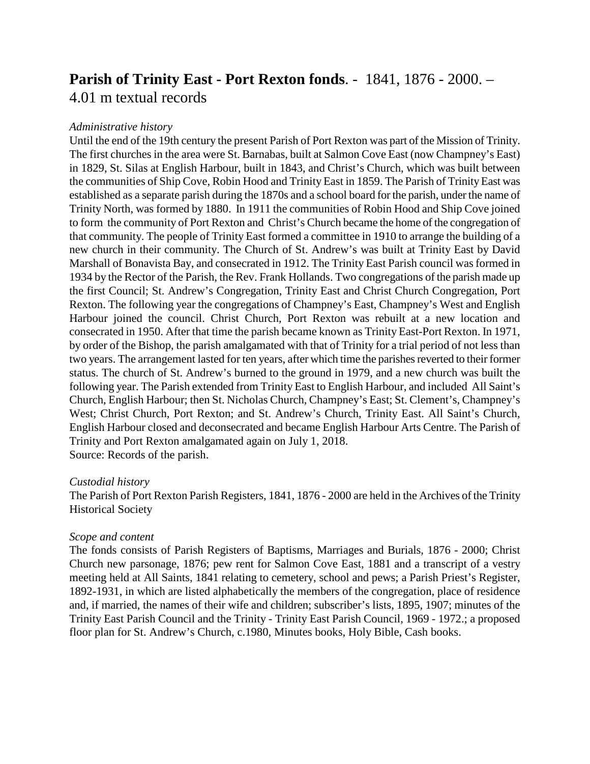## **Parish of Trinity East - Port Rexton fonds**. - 1841, 1876 - 2000. – 4.01 m textual records

## *Administrative history*

Until the end of the 19th century the present Parish of Port Rexton was part of the Mission of Trinity. The first churches in the area were St. Barnabas, built at Salmon Cove East (now Champney's East) in 1829, St. Silas at English Harbour, built in 1843, and Christ's Church, which was built between the communities of Ship Cove, Robin Hood and Trinity East in 1859. The Parish of Trinity East was established as a separate parish during the 1870s and a school board for the parish, under the name of Trinity North, was formed by 1880. In 1911 the communities of Robin Hood and Ship Cove joined to form the community of Port Rexton and Christ's Church became the home of the congregation of that community. The people of Trinity East formed a committee in 1910 to arrange the building of a new church in their community. The Church of St. Andrew's was built at Trinity East by David Marshall of Bonavista Bay, and consecrated in 1912. The Trinity East Parish council was formed in 1934 by the Rector of the Parish, the Rev. Frank Hollands. Two congregations of the parish made up the first Council; St. Andrew's Congregation, Trinity East and Christ Church Congregation, Port Rexton. The following year the congregations of Champney's East, Champney's West and English Harbour joined the council. Christ Church, Port Rexton was rebuilt at a new location and consecrated in 1950. After that time the parish became known as Trinity East-Port Rexton. In 1971, by order of the Bishop, the parish amalgamated with that of Trinity for a trial period of not less than two years. The arrangement lasted for ten years, after which time the parishes reverted to their former status. The church of St. Andrew's burned to the ground in 1979, and a new church was built the following year. The Parish extended from Trinity East to English Harbour, and included All Saint's Church, English Harbour; then St. Nicholas Church, Champney's East; St. Clement's, Champney's West; Christ Church, Port Rexton; and St. Andrew's Church, Trinity East. All Saint's Church, English Harbour closed and deconsecrated and became English Harbour Arts Centre. The Parish of Trinity and Port Rexton amalgamated again on July 1, 2018. Source: Records of the parish.

## *Custodial history*

The Parish of Port Rexton Parish Registers, 1841, 1876 - 2000 are held in the Archives of the Trinity Historical Society

## *Scope and content*

The fonds consists of Parish Registers of Baptisms, Marriages and Burials, 1876 - 2000; Christ Church new parsonage, 1876; pew rent for Salmon Cove East, 1881 and a transcript of a vestry meeting held at All Saints, 1841 relating to cemetery, school and pews; a Parish Priest's Register, 1892-1931, in which are listed alphabetically the members of the congregation, place of residence and, if married, the names of their wife and children; subscriber's lists, 1895, 1907; minutes of the Trinity East Parish Council and the Trinity - Trinity East Parish Council, 1969 - 1972.; a proposed floor plan for St. Andrew's Church, c.1980, Minutes books, Holy Bible, Cash books.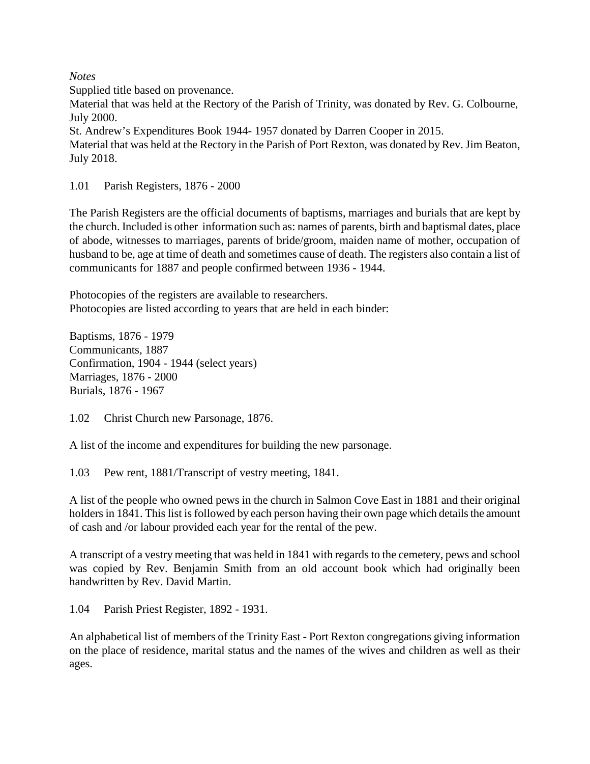*Notes*

Supplied title based on provenance.

Material that was held at the Rectory of the Parish of Trinity, was donated by Rev. G. Colbourne, July 2000.

St. Andrew's Expenditures Book 1944- 1957 donated by Darren Cooper in 2015.

Material that was held at the Rectory in the Parish of Port Rexton, was donated by Rev. Jim Beaton, July 2018.

1.01 Parish Registers, 1876 - 2000

The Parish Registers are the official documents of baptisms, marriages and burials that are kept by the church. Included is other information such as: names of parents, birth and baptismal dates, place of abode, witnesses to marriages, parents of bride/groom, maiden name of mother, occupation of husband to be, age at time of death and sometimes cause of death. The registers also contain a list of communicants for 1887 and people confirmed between 1936 - 1944.

Photocopies of the registers are available to researchers. Photocopies are listed according to years that are held in each binder:

Baptisms, 1876 - 1979 Communicants, 1887 Confirmation, 1904 - 1944 (select years) Marriages, 1876 - 2000 Burials, 1876 - 1967

1.02 Christ Church new Parsonage, 1876.

A list of the income and expenditures for building the new parsonage.

1.03 Pew rent, 1881/Transcript of vestry meeting, 1841.

A list of the people who owned pews in the church in Salmon Cove East in 1881 and their original holders in 1841. This list is followed by each person having their own page which details the amount of cash and /or labour provided each year for the rental of the pew.

A transcript of a vestry meeting that was held in 1841 with regards to the cemetery, pews and school was copied by Rev. Benjamin Smith from an old account book which had originally been handwritten by Rev. David Martin.

1.04 Parish Priest Register, 1892 - 1931.

An alphabetical list of members of the Trinity East - Port Rexton congregations giving information on the place of residence, marital status and the names of the wives and children as well as their ages.